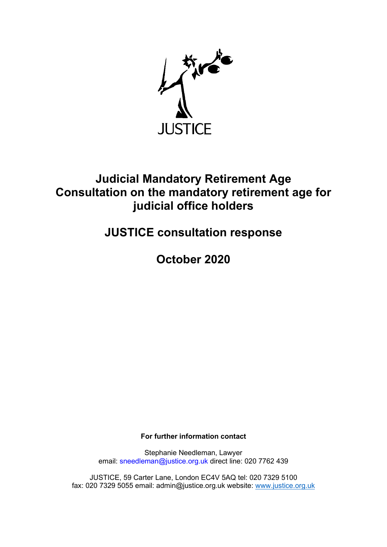

## Judicial Mandatory Retirement Age Consultation on the mandatory retirement age for judicial office holders

## JUSTICE consultation response

October 2020

For further information contact

Stephanie Needleman, Lawyer email: sneedleman@justice.org.uk direct line: 020 7762 439

JUSTICE, 59 Carter Lane, London EC4V 5AQ tel: 020 7329 5100 fax: 020 7329 5055 email: admin@justice.org.uk website: www.justice.org.uk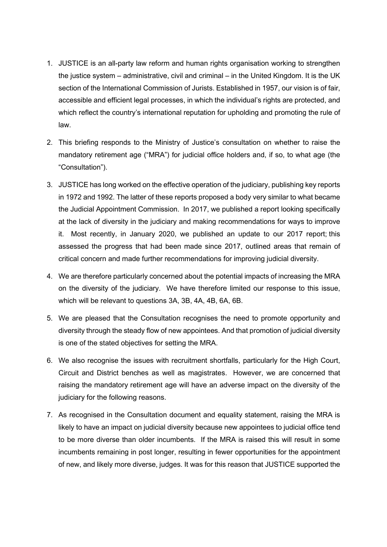- 1. JUSTICE is an all-party law reform and human rights organisation working to strengthen the justice system – administrative, civil and criminal – in the United Kingdom. It is the UK section of the International Commission of Jurists. Established in 1957, our vision is of fair, accessible and efficient legal processes, in which the individual's rights are protected, and which reflect the country's international reputation for upholding and promoting the rule of law.
- 2. This briefing responds to the Ministry of Justice's consultation on whether to raise the mandatory retirement age ("MRA") for judicial office holders and, if so, to what age (the "Consultation").
- 3. JUSTICE has long worked on the effective operation of the judiciary, publishing key reports in 1972 and 1992. The latter of these reports proposed a body very similar to what became the Judicial Appointment Commission. In 2017, we published a report looking specifically at the lack of diversity in the judiciary and making recommendations for ways to improve it. Most recently, in January 2020, we published an update to our 2017 report; this assessed the progress that had been made since 2017, outlined areas that remain of critical concern and made further recommendations for improving judicial diversity.
- 4. We are therefore particularly concerned about the potential impacts of increasing the MRA on the diversity of the judiciary. We have therefore limited our response to this issue, which will be relevant to questions 3A, 3B, 4A, 4B, 6A, 6B.
- 5. We are pleased that the Consultation recognises the need to promote opportunity and diversity through the steady flow of new appointees. And that promotion of judicial diversity is one of the stated objectives for setting the MRA.
- 6. We also recognise the issues with recruitment shortfalls, particularly for the High Court, Circuit and District benches as well as magistrates. However, we are concerned that raising the mandatory retirement age will have an adverse impact on the diversity of the judiciary for the following reasons.
- 7. As recognised in the Consultation document and equality statement, raising the MRA is likely to have an impact on judicial diversity because new appointees to judicial office tend to be more diverse than older incumbents. If the MRA is raised this will result in some incumbents remaining in post longer, resulting in fewer opportunities for the appointment of new, and likely more diverse, judges. It was for this reason that JUSTICE supported the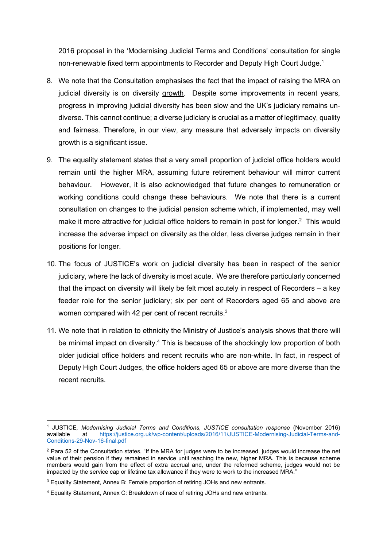2016 proposal in the 'Modernising Judicial Terms and Conditions' consultation for single non-renewable fixed term appointments to Recorder and Deputy High Court Judge.<sup>1</sup>

- 8. We note that the Consultation emphasises the fact that the impact of raising the MRA on judicial diversity is on diversity growth. Despite some improvements in recent years, progress in improving judicial diversity has been slow and the UK's judiciary remains undiverse. This cannot continue; a diverse judiciary is crucial as a matter of legitimacy, quality and fairness. Therefore, in our view, any measure that adversely impacts on diversity growth is a significant issue.
- 9. The equality statement states that a very small proportion of judicial office holders would remain until the higher MRA, assuming future retirement behaviour will mirror current behaviour. However, it is also acknowledged that future changes to remuneration or working conditions could change these behaviours. We note that there is a current consultation on changes to the judicial pension scheme which, if implemented, may well make it more attractive for judicial office holders to remain in post for longer.<sup>2</sup> This would increase the adverse impact on diversity as the older, less diverse judges remain in their positions for longer.
- 10. The focus of JUSTICE's work on judicial diversity has been in respect of the senior judiciary, where the lack of diversity is most acute. We are therefore particularly concerned that the impact on diversity will likely be felt most acutely in respect of Recorders – a key feeder role for the senior judiciary; six per cent of Recorders aged 65 and above are women compared with 42 per cent of recent recruits.<sup>3</sup>
- 11. We note that in relation to ethnicity the Ministry of Justice's analysis shows that there will be minimal impact on diversity.<sup>4</sup> This is because of the shockingly low proportion of both older judicial office holders and recent recruits who are non-white. In fact, in respect of Deputy High Court Judges, the office holders aged 65 or above are more diverse than the recent recruits.

<sup>&</sup>lt;sup>1</sup> JUSTICE, Modernising Judicial Terms and Conditions, JUSTICE consultation response (November 2016) available at https://justice.org.uk/wp-content/uploads/2016/11/JUSTICE-Modernising-Judicial-Terms-and-Conditions-29-Nov-16-final.pdf

 $2$  Para 52 of the Consultation states, "If the MRA for judges were to be increased, judges would increase the net value of their pension if they remained in service until reaching the new, higher MRA. This is because scheme members would gain from the effect of extra accrual and, under the reformed scheme, judges would not be impacted by the service cap or lifetime tax allowance if they were to work to the increased MRA."

<sup>&</sup>lt;sup>3</sup> Equality Statement, Annex B: Female proportion of retiring JOHs and new entrants.

<sup>4</sup> Equality Statement, Annex C: Breakdown of race of retiring JOHs and new entrants.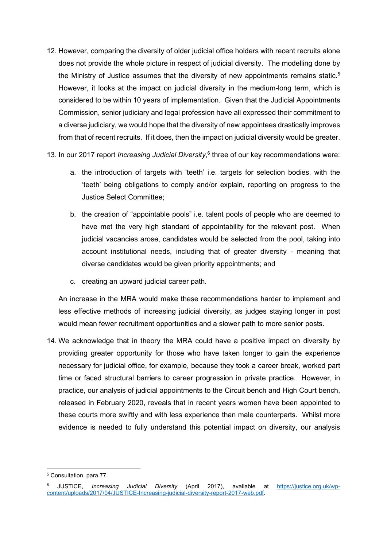- 12. However, comparing the diversity of older judicial office holders with recent recruits alone does not provide the whole picture in respect of judicial diversity. The modelling done by the Ministry of Justice assumes that the diversity of new appointments remains static.<sup>5</sup> However, it looks at the impact on judicial diversity in the medium-long term, which is considered to be within 10 years of implementation. Given that the Judicial Appointments Commission, senior judiciary and legal profession have all expressed their commitment to a diverse judiciary, we would hope that the diversity of new appointees drastically improves from that of recent recruits. If it does, then the impact on judicial diversity would be greater.
- 13. In our 2017 report *Increasing Judicial Diversity*,<sup>6</sup> three of our key recommendations were:
	- a. the introduction of targets with 'teeth' i.e. targets for selection bodies, with the 'teeth' being obligations to comply and/or explain, reporting on progress to the Justice Select Committee;
	- b. the creation of "appointable pools" i.e. talent pools of people who are deemed to have met the very high standard of appointability for the relevant post. When judicial vacancies arose, candidates would be selected from the pool, taking into account institutional needs, including that of greater diversity - meaning that diverse candidates would be given priority appointments; and
	- c. creating an upward judicial career path.

An increase in the MRA would make these recommendations harder to implement and less effective methods of increasing judicial diversity, as judges staying longer in post would mean fewer recruitment opportunities and a slower path to more senior posts.

14. We acknowledge that in theory the MRA could have a positive impact on diversity by providing greater opportunity for those who have taken longer to gain the experience necessary for judicial office, for example, because they took a career break, worked part time or faced structural barriers to career progression in private practice. However, in practice, our analysis of judicial appointments to the Circuit bench and High Court bench, released in February 2020, reveals that in recent years women have been appointed to these courts more swiftly and with less experience than male counterparts. Whilst more evidence is needed to fully understand this potential impact on diversity, our analysis

<sup>5</sup> Consultation, para 77.

<sup>6</sup> JUSTICE, Increasing Judicial Diversity (April 2017), available at https://justice.org.uk/wpcontent/uploads/2017/04/JUSTICE-Increasing-judicial-diversity-report-2017-web.pdf.